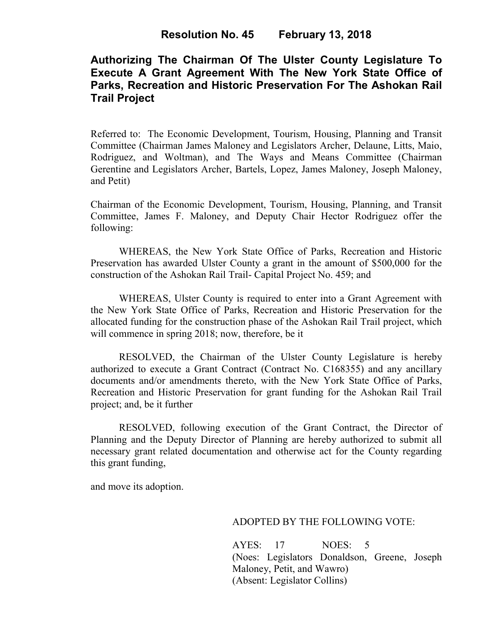### **Resolution No. 45 February 13, 2018**

# **Authorizing The Chairman Of The Ulster County Legislature To Execute A Grant Agreement With The New York State Office of Parks, Recreation and Historic Preservation For The Ashokan Rail Trail Project**

Referred to: The Economic Development, Tourism, Housing, Planning and Transit Committee (Chairman James Maloney and Legislators Archer, Delaune, Litts, Maio, Rodriguez, and Woltman), and The Ways and Means Committee (Chairman Gerentine and Legislators Archer, Bartels, Lopez, James Maloney, Joseph Maloney, and Petit)

Chairman of the Economic Development, Tourism, Housing, Planning, and Transit Committee, James F. Maloney, and Deputy Chair Hector Rodriguez offer the following:

WHEREAS, the New York State Office of Parks, Recreation and Historic Preservation has awarded Ulster County a grant in the amount of \$500,000 for the construction of the Ashokan Rail Trail- Capital Project No. 459; and

WHEREAS, Ulster County is required to enter into a Grant Agreement with the New York State Office of Parks, Recreation and Historic Preservation for the allocated funding for the construction phase of the Ashokan Rail Trail project, which will commence in spring 2018; now, therefore, be it

RESOLVED, the Chairman of the Ulster County Legislature is hereby authorized to execute a Grant Contract (Contract No. C168355) and any ancillary documents and/or amendments thereto, with the New York State Office of Parks, Recreation and Historic Preservation for grant funding for the Ashokan Rail Trail project; and, be it further

RESOLVED, following execution of the Grant Contract, the Director of Planning and the Deputy Director of Planning are hereby authorized to submit all necessary grant related documentation and otherwise act for the County regarding this grant funding,

and move its adoption.

#### ADOPTED BY THE FOLLOWING VOTE:

AYES: 17 NOES: 5 (Noes: Legislators Donaldson, Greene, Joseph Maloney, Petit, and Wawro) (Absent: Legislator Collins)